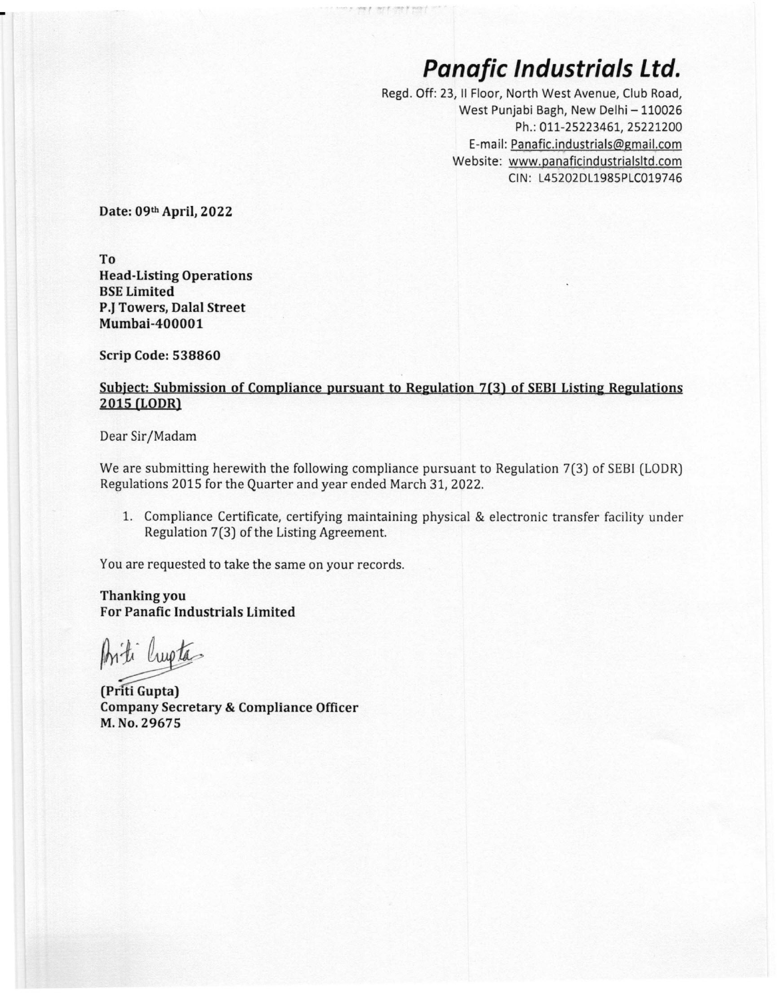## *Panafic Industrials Ltd.*

Regd. Off: 23, II Floor, North West Avenue, Club Road, West Punjabi Bagh, New Delhi - 110026 Ph.: 011-25223461, 25221200 E-mail: [Panafic.industrials@gmail.com](mailto:Panafic.industrials@gmail.com) Website: www.panaficindustrialsltd.com CIN: L45202DL1985PLC019746

**Date: 09th April, 2022**

**To Head-Listing Operations BSELimited P.JTowers, Dalal Street Mumbai-400001**

**Scrip Code: 538860**

## **Subject: Submission of Compliance pursuant to Regulation 7(3) of SEBIListing Regulations 2015 (LODR)**

*.• ~.... •• r*

Dear Sir/Madam

We are submitting herewith the following compliance pursuant to Regulation 7(3) of SEBl (LODR) Regulations 2015 for the Quarter and year ended March 31, 2022.

1. Compliance Certificate, certifying maintaining physical & electronic transfer facility under Regulation 7(3) of the Listing Agreement.

You are requested to take the same on your records.

**Thanking you For Panafic Industrials Limited**

Arti Crupta .<br>.

**(Pnti Gupta) Company Secretary & Compliance Officer M.No. 29675**